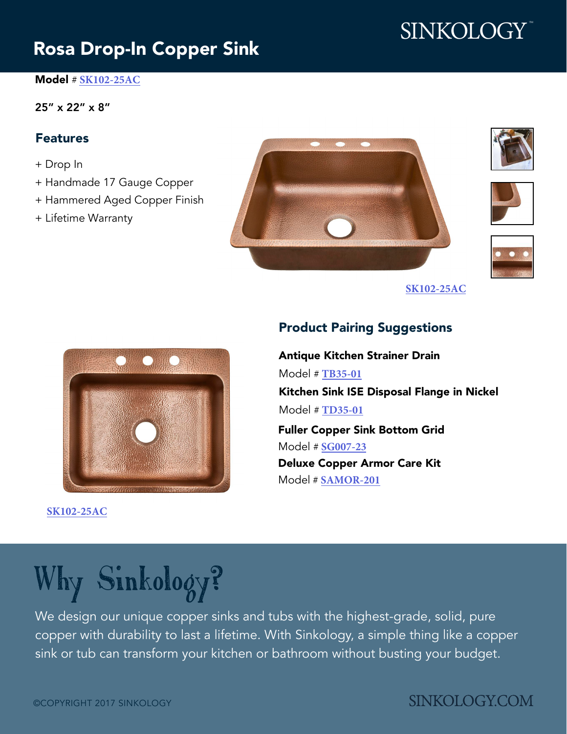# [SINKOLOGY](http://www.sinkology.com)<sup>®</sup>

# [Rosa Drop-In Copper Sink](http://www.sinkology.com/kitchen-sink/rosa-drop-copper-sink/)

#### Model # **[SK102-25AC](http://www.sinkology.com/kitchen-sink/rosa-drop-copper-sink/)**

#### 25" x 22" x 8"

### Features

- + Drop In
- + Handmade 17 Gauge Copper
- + Hammered Aged Copper Finish
- + Lifetime Warranty









**[SK102-25AC](http://www.sinkology.com/kitchen-sink/rosa-drop-copper-sink/)**



**[SK102-25AC](http://www.sinkology.com/kitchen-sink/rosa-drop-copper-sink/)**

## Product Pairing Suggestions

Antique Kitchen Strainer Drain Model # **[TB35-01](http://www.sinkology.com/kitchen-accessory/kitchen-basket-strainer-drain/)** Kitchen Sink ISE Disposal Flange in Nickel Model # **[TD35-01](http://www.sinkology.com/kitchen-accessory/kitchen-ise-disposal-flange-drain/)** Fuller Copper Sink Bottom Grid Model # **[SG007-23](http://www.sinkology.com/kitchen-accessory/fuller-copper-kitchen-sink-bottom-grid/)** Deluxe Copper Armor Care Kit

Model # **[SAMOR-201](http://www.sinkology.com/kitchen-accessory/deluxe-copper-armor-kit-bathroom-sinks/)**

# Why [Sinkology?](http://www.sinkology.com)

We design our unique copper sinks and tubs with the highest-grade, solid, pure copper with durability to last a lifetime. Wit[h Sinkology, a](http://www.sinkology.com) simple thing like a copper sink or tub can transform your kitchen or bathroom without busting your budget.

# **SINKOLOGY.COM**